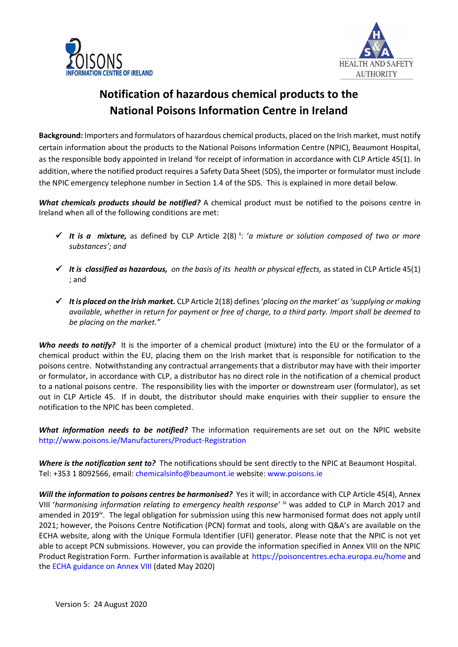



## **Notification of hazardous chemical products to the National Poisons Information Centre in Ireland**

**Background:** Importers and formulators of hazardous chemical products, placed on the Irish market, must notify certain information about the products to the National Poisons Information Centre (NPIC), Beaumont Hospital, as the responsible body appointed in Ireland for receipt of information in accordance with CLP Article 45(1). In addition, where the notified product requires a Safety Data Sheet (SDS), the importer or formulator must include the NPIC emergency telephone number in Section 1.4 of the SDS. This is explained in more detail below.

*What chemicals products should be notified?* A chemical product must be notified to the poisons centre in Ireland when all of the following conditions are met:

- $\checkmark$  It is a mixture, as defined by CLP Article 2(8)  $\check{a}$ : *'a mixture or solution composed of two or more substances'; and*
- $\checkmark$  It is classified as hazardous, on the basis of its health or physical effects, as stated in CLP Article 45(1) ; and
- *It is placed on the Irish market.* CLP Article 2(18) defines '*placing on the market' as'supplying or making available, whether in return for payment or free of charge, to a third party. Import shall be deemed to be placing on the market."*

*Who needs to notify?* It is the importer of a chemical product (mixture) into the EU or the formulator of a chemical product within the EU, placing them on the Irish market that is responsible for notification to the poisons centre. Notwithstanding any contractual arrangements that a distributor may have with their importer or formulator, in accordance with CLP, a distributor has no direct role in the notification of a chemical product to a national poisons centre. The responsibility lies with the importer or downstream user (formulator), as set out in CLP Article 45. If in doubt, the distributor should make enquiries with their supplier to ensure the notification to the NPIC has been completed.

*What information needs to be notified?* The information requirements are set out on the NPIC website <http://www.poisons.ie/Manufacturers/Product-Registration>

*Where is the notification sent to?* The notifications should be sent directly to the NPIC at Beaumont Hospital. Tel: +353 1 8092566, email: [chemicalsinfo@beaumont.ie](mailto:chemicalsinfo@beaumont.ie) website: [www.poisons.ie](http://www.poisons.ie/)

*Will the information to poisons centres be harmonised?* Yes it will; in accordance with CLP Article 45(4), Annex VIII 'harmonising information relating to emergency health response' iii was added to CLP in March 2017 and amended in 2019<sup>iv</sup>. The legal obligation for submission using this new harmonised format does not apply until 2021; however, the Poisons Centre Notification (PCN) format and tools, along with Q&A's are available on the ECHA website, along with the Unique Formula Identifier (UFI) generator. Please note that the NPIC is not yet able to accept PCN submissions. However, you can provide the information specified in Annex VIII on the NPIC Product Registration Form. Further information is available at<https://poisoncentres.echa.europa.eu/home> and the ECHA guidance on Annex VIII (dated May 2020)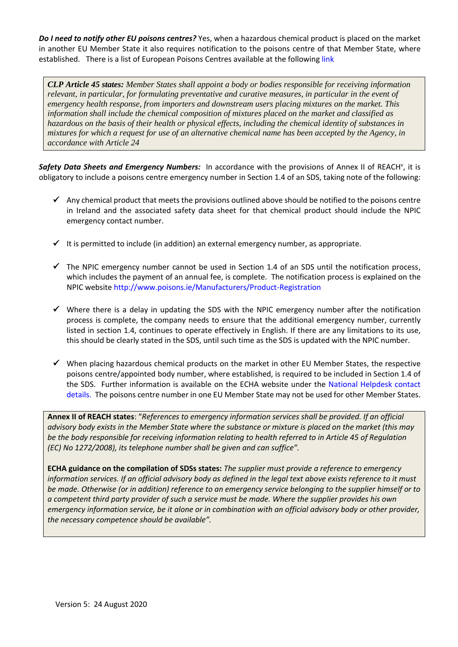*Do I need to notify other EU poisons centres?* Yes, when a hazardous chemical product is placed on the market in another EU Member State it also requires notification to the poisons centre of that Member State, where established. There is a list of European Poisons Centres available at the following [link](http://ec.europa.eu/DocsRoom/documents/5219/attachments/1/translations/en/renditions/native)

*CLP Article 45 states: Member States shall appoint a body or bodies responsible for receiving information relevant, in particular, for formulating preventative and curative measures, in particular in the event of emergency health response, from importers and downstream users placing mixtures on the market. This information shall include the chemical composition of mixtures placed on the market and classified as hazardous on the basis of their health or physical effects, including the chemical identity of substances in mixtures for which a request for use of an alternative chemical name has been accepted by the Agency, in accordance with Article 24*

Safety Data Sheets and Emergency Numbers: In accordance with the provisions of Annex II of REACH<sup>v</sup>, it is obligatory to include a poisons centre emergency number in Section 1.4 of an SDS, taking note of the following:

- Any chemical product that meets the provisions outlined above should be notified to the poisons centre in Ireland and the associated safety data sheet for that chemical product should include the NPIC emergency contact number.
- $\checkmark$  It is permitted to include (in addition) an external emergency number, as appropriate.
- $\checkmark$  The NPIC emergency number cannot be used in Section 1.4 of an SDS until the notification process, which includes the payment of an annual fee, is complete. The notification process is explained on the NPIC website<http://www.poisons.ie/Manufacturers/Product-Registration>
- $\checkmark$  Where there is a delay in updating the SDS with the NPIC emergency number after the notification process is complete, the company needs to ensure that the additional emergency number, currently listed in section 1.4, continues to operate effectively in English. If there are any limitations to its use, this should be clearly stated in the SDS, until such time as the SDS is updated with the NPIC number.
- $\checkmark$  When placing hazardous chemical products on the market in other EU Member States, the respective poisons centre/appointed body number, where established, is required to be included in Section 1.4 of the SDS. Further information is available on the ECHA website under the [National Helpdesk contact](http://echa.europa.eu/web/guest/support/helpdesks/national-helpdesks/list-of-national-helpdesks)  [details.](http://echa.europa.eu/web/guest/support/helpdesks/national-helpdesks/list-of-national-helpdesks) The poisons centre number in one EU Member State may not be used for other Member States.

**Annex II of REACH states**: "*References to emergency information services shall be provided. If an official advisory body exists in the Member State where the substance or mixture is placed on the market (this may be the body responsible for receiving information relating to health referred to in Article 45 of Regulation (EC) No 1272/2008), its telephone number shall be given and can suffice".* 

**ECHA guidance on the compilation of SDSs states:** *The supplier must provide a reference to emergency information services. If an official advisory body as defined in the legal text above exists reference to it must be made. Otherwise (or in addition) reference to an emergency service belonging to the supplier himself or to a competent third party provider of such a service must be made. Where the supplier provides his own emergency information service, be it alone or in combination with an official advisory body or other provider, the necessary competence should be available".*